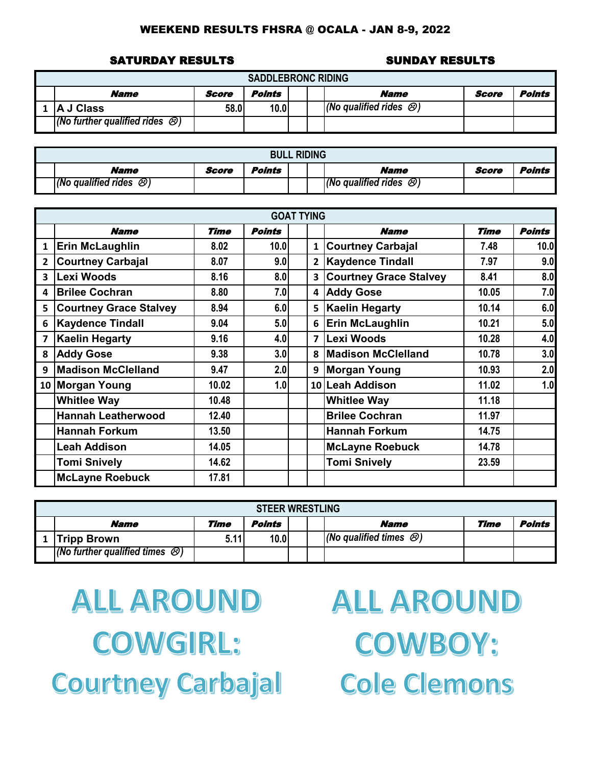#### SATURDAY RESULTS SUNDAY RESULTS

| <b>SADDLEBRONC RIDING</b>                      |       |        |  |                                      |       |        |  |  |  |  |  |  |
|------------------------------------------------|-------|--------|--|--------------------------------------|-------|--------|--|--|--|--|--|--|
| <b>Name</b>                                    | Score | Points |  | <b>Name</b>                          | Score | Points |  |  |  |  |  |  |
| <b>IA J Class</b>                              | 58.0  | 10.0   |  | $(No$ qualified rides $\mathcal{O})$ |       |        |  |  |  |  |  |  |
| $(No$ further qualified rides $\mathcal{O}(n)$ |       |        |  |                                      |       |        |  |  |  |  |  |  |

| <b>BULL RIDING</b>                     |       |        |  |  |                                      |       |        |  |  |  |
|----------------------------------------|-------|--------|--|--|--------------------------------------|-------|--------|--|--|--|
| Name                                   | Score | Points |  |  | <b>Name</b>                          | Score | Points |  |  |  |
| $(No$ qualified rides $\mathcal{O}(n)$ |       |        |  |  | (No qualified rides $\mathcal{O}(n)$ |       |        |  |  |  |

|                         |                               |             |               | <b>GOAT TYING</b> |                           |             |               |
|-------------------------|-------------------------------|-------------|---------------|-------------------|---------------------------|-------------|---------------|
|                         | <b>Name</b>                   | <b>Time</b> | <b>Points</b> |                   | <b>Name</b>               | <b>Time</b> | <b>Points</b> |
| $\mathbf{1}$            | <b>Erin McLaughlin</b>        | 8.02        | 10.0          | $\mathbf{1}$      | <b>Courtney Carbajal</b>  | 7.48        | 10.0          |
| $\overline{2}$          | <b>Courtney Carbajal</b>      | 8.07        | 9.0           | $\mathbf{2}$      | <b>Kaydence Tindall</b>   | 7.97        | 9.0           |
| $\overline{\mathbf{3}}$ | Lexi Woods                    | 8.16        | 8.0           |                   | 3 Courtney Grace Stalvey  | 8.41        | 8.0           |
| 4                       | <b>Brilee Cochran</b>         | 8.80        | 7.0           |                   | 4 Addy Gose               | 10.05       | 7.0           |
| 5                       | <b>Courtney Grace Stalvey</b> | 8.94        | 6.0           |                   | 5 Kaelin Hegarty          | 10.14       | 6.0           |
| 6                       | <b>Kaydence Tindall</b>       | 9.04        | 5.0           | 6                 | <b>Erin McLaughlin</b>    | 10.21       | 5.0           |
| $\overline{\mathbf{z}}$ | <b>Kaelin Hegarty</b>         | 9.16        | 4.0           | $\overline{ }$    | Lexi Woods                | 10.28       | 4.0           |
| 8                       | <b>Addy Gose</b>              | 9.38        | 3.0           | 8                 | <b>Madison McClelland</b> | 10.78       | 3.0           |
| 9                       | <b>Madison McClelland</b>     | 9.47        | 2.0           | 9                 | <b>Morgan Young</b>       | 10.93       | 2.0           |
|                         | 10 Morgan Young               | 10.02       | 1.0           |                   | 10 Leah Addison           | 11.02       | 1.0           |
|                         | <b>Whitlee Way</b>            | 10.48       |               |                   | <b>Whitlee Way</b>        | 11.18       |               |
|                         | <b>Hannah Leatherwood</b>     | 12.40       |               |                   | <b>Brilee Cochran</b>     | 11.97       |               |
|                         | <b>Hannah Forkum</b>          | 13.50       |               |                   | <b>Hannah Forkum</b>      | 14.75       |               |
|                         | <b>Leah Addison</b>           | 14.05       |               |                   | <b>McLayne Roebuck</b>    | 14.78       |               |
|                         | <b>Tomi Snively</b>           | 14.62       |               |                   | <b>Tomi Snively</b>       | 23.59       |               |
|                         | <b>McLayne Roebuck</b>        | 17.81       |               |                   |                           |             |               |

| <b>STEER WRESTLING</b>                         |      |        |  |  |                                     |      |        |  |  |  |
|------------------------------------------------|------|--------|--|--|-------------------------------------|------|--------|--|--|--|
| <i><b>Name</b></i>                             | Time | Points |  |  | <b>Name</b>                         | Time | Points |  |  |  |
| <b>Tripp Brown</b>                             | 5.11 | 10.0   |  |  | (No qualified times $\mathcal{B}$ ) |      |        |  |  |  |
| $(No$ further qualified times $\bigcircled{S}$ |      |        |  |  |                                     |      |        |  |  |  |

**ALL AROUND COWGIRL: Courtney Carbajal**  **ALL AROUND COWBOY: Cole Clemons**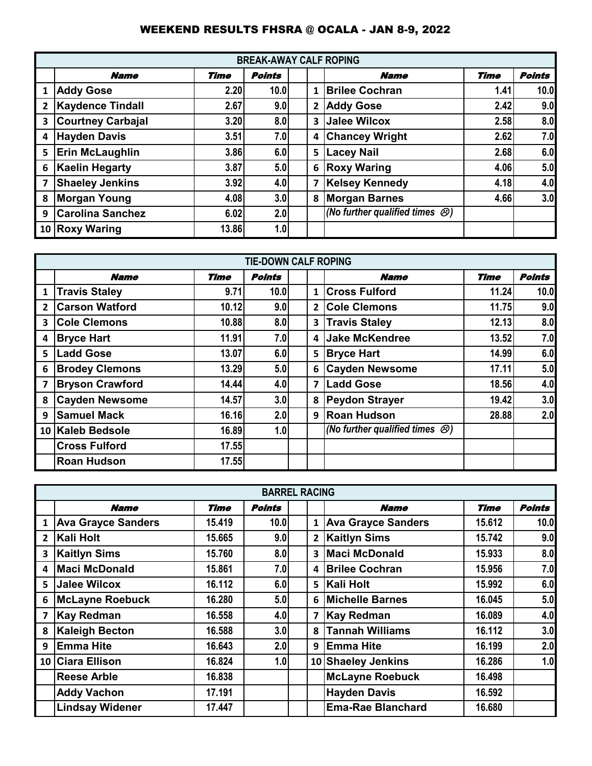|                         |                          |       | <b>BREAK-AWAY CALF ROPING</b> |                |                                             |             |               |
|-------------------------|--------------------------|-------|-------------------------------|----------------|---------------------------------------------|-------------|---------------|
|                         | <b>Name</b>              | Time  | <b>Points</b>                 |                | <b>Name</b>                                 | <b>Time</b> | <b>Points</b> |
| 1                       | <b>Addy Gose</b>         | 2.20  | 10.0                          | $\mathbf{1}$   | <b>Brilee Cochran</b>                       | 1.41        | 10.0          |
| $\mathbf{2}$            | <b>Kaydence Tindall</b>  | 2.67  | 9.0                           | $\overline{2}$ | <b>Addy Gose</b>                            | 2.42        | 9.0           |
| 3                       | <b>Courtney Carbajal</b> | 3.20  | 8.0                           | $\mathbf{3}$   | <b>Jalee Wilcox</b>                         | 2.58        | 8.0           |
| $\overline{\mathbf{4}}$ | <b>Hayden Davis</b>      | 3.51  | 7.0                           | 4              | <b>Chancey Wright</b>                       | 2.62        | 7.0           |
| 5                       | <b>Erin McLaughlin</b>   | 3.86  | 6.0                           | 5              | <b>Lacey Nail</b>                           | 2.68        | 6.0           |
| 6                       | <b>Kaelin Hegarty</b>    | 3.87  | 5.0                           | 6              | <b>Roxy Waring</b>                          | 4.06        | 5.0           |
| 7                       | <b>Shaeley Jenkins</b>   | 3.92  | 4.0                           | 7              | <b>Kelsey Kennedy</b>                       | 4.18        | 4.0           |
| 8                       | <b>Morgan Young</b>      | 4.08  | 3.0                           | 8              | <b>Morgan Barnes</b>                        | 4.66        | 3.0           |
| 9                       | <b>Carolina Sanchez</b>  | 6.02  | 2.0                           |                | (No further qualified times $\mathcal{B}$ ) |             |               |
|                         | 10 Roxy Waring           | 13.86 | 1.0                           |                |                                             |             |               |

|                         |                        |       | <b>TIE-DOWN CALF ROPING</b> |                |                                           |             |               |
|-------------------------|------------------------|-------|-----------------------------|----------------|-------------------------------------------|-------------|---------------|
|                         | <b>Name</b>            | Time  | <b>Points</b>               |                | <b>Name</b>                               | <b>Time</b> | <b>Points</b> |
| $\mathbf{1}$            | <b>Travis Staley</b>   | 9.71  | 10.0                        | $\mathbf{1}$   | <b>Cross Fulford</b>                      | 11.24       | 10.0          |
| $\overline{2}$          | <b>Carson Watford</b>  | 10.12 | 9.0                         | $\overline{2}$ | <b>Cole Clemons</b>                       | 11.75       | 9.0           |
| 3                       | <b>Cole Clemons</b>    | 10.88 | 8.0                         | 3              | <b>Travis Staley</b>                      | 12.13       | 8.0           |
| 4                       | <b>Bryce Hart</b>      | 11.91 | 7.0                         | 4              | <b>Jake McKendree</b>                     | 13.52       | 7.0           |
| 5                       | Ladd Gose              | 13.07 | 6.0                         | 5              | <b>Bryce Hart</b>                         | 14.99       | 6.0           |
| 6                       | <b>Brodey Clemons</b>  | 13.29 | 5.0                         | 6              | <b>Cayden Newsome</b>                     | 17.11       | 5.0           |
| $\overline{\mathbf{z}}$ | <b>Bryson Crawford</b> | 14.44 | 4.0                         | $\overline{7}$ | <b>Ladd Gose</b>                          | 18.56       | 4.0           |
| 8                       | <b>Cayden Newsome</b>  | 14.57 | 3.0                         | 8              | <b>Peydon Strayer</b>                     | 19.42       | 3.0           |
| 9                       | <b>Samuel Mack</b>     | 16.16 | 2.0                         | 9 <sup>1</sup> | <b>Roan Hudson</b>                        | 28.88       | 2.0           |
|                         | 10 Kaleb Bedsole       | 16.89 | 1.0                         |                | (No further qualified times $\circledR$ ) |             |               |
|                         | <b>Cross Fulford</b>   | 17.55 |                             |                |                                           |             |               |
|                         | <b>Roan Hudson</b>     | 17.55 |                             |                |                                           |             |               |

|                |                           |        | <b>BARREL RACING</b> |                |                           |        |               |
|----------------|---------------------------|--------|----------------------|----------------|---------------------------|--------|---------------|
|                | <b>Name</b>               | Time   | Points               |                | <b>Name</b>               | Time   | <b>Points</b> |
| $\mathbf{1}$   | <b>Ava Grayce Sanders</b> | 15.419 | 10.0 <sub>l</sub>    | $\mathbf{1}$   | <b>Ava Grayce Sanders</b> | 15.612 | 10.0          |
| $\overline{2}$ | Kali Holt                 | 15.665 | 9.0                  | $\overline{2}$ | <b>Kaitlyn Sims</b>       | 15.742 | 9.0           |
| 3              | <b>Kaitlyn Sims</b>       | 15.760 | 8.0                  |                | 3 Maci McDonald           | 15.933 | 8.0           |
| 4              | <b>Maci McDonald</b>      | 15.861 | 7.0                  | 4              | <b>Brilee Cochran</b>     | 15.956 | 7.0           |
| 5              | Jalee Wilcox              | 16.112 | 6.0                  |                | 5   Kali Holt             | 15.992 | 6.0           |
| 6              | <b>McLayne Roebuck</b>    | 16.280 | 5.0                  | 6              | <b>Michelle Barnes</b>    | 16.045 | 5.0           |
| 7              | Kay Redman                | 16.558 | 4.0                  | 7              | <b>Kay Redman</b>         | 16.089 | 4.0           |
| 8              | <b>Kaleigh Becton</b>     | 16.588 | 3.0                  | 8              | <b>Tannah Williams</b>    | 16.112 | 3.0           |
| 9              | <b>Emma Hite</b>          | 16.643 | 2.0                  | 9              | <b>IEmma Hite</b>         | 16.199 | 2.0           |
|                | 10 Ciara Ellison          | 16.824 | 1.0                  |                | 10 Shaeley Jenkins        | 16.286 | 1.0           |
|                | <b>Reese Arble</b>        | 16.838 |                      |                | <b>McLayne Roebuck</b>    | 16.498 |               |
|                | <b>Addy Vachon</b>        | 17.191 |                      |                | <b>Hayden Davis</b>       | 16.592 |               |
|                | <b>Lindsay Widener</b>    | 17.447 |                      |                | <b>Ema-Rae Blanchard</b>  | 16.680 |               |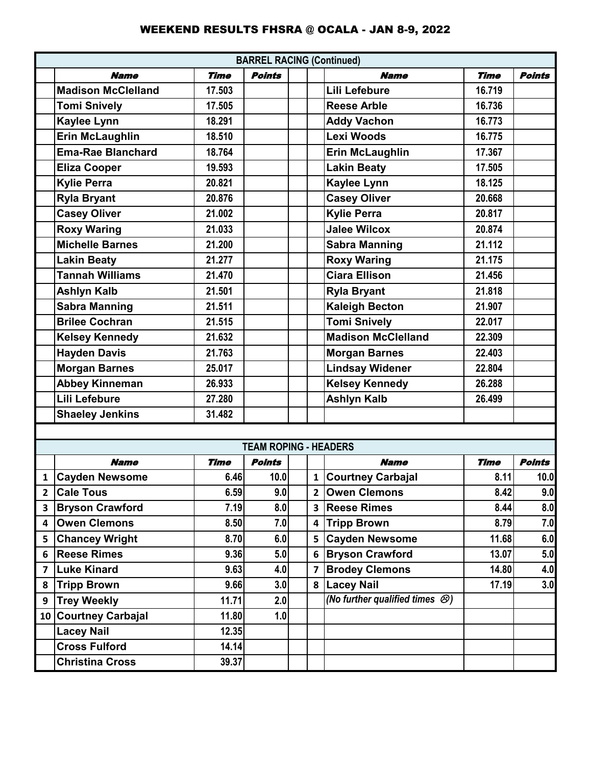|              |                           |             | <b>BARREL RACING (Continued)</b> |              |                                             |             |               |
|--------------|---------------------------|-------------|----------------------------------|--------------|---------------------------------------------|-------------|---------------|
|              | <b>Name</b>               | <b>Time</b> | <b>Points</b>                    |              | <b>Name</b>                                 | <b>Time</b> | <b>Points</b> |
|              | <b>Madison McClelland</b> | 17.503      |                                  |              | <b>Lili Lefebure</b>                        | 16.719      |               |
|              | <b>Tomi Snively</b>       | 17.505      |                                  |              | <b>Reese Arble</b>                          | 16.736      |               |
|              | Kaylee Lynn               | 18.291      |                                  |              | <b>Addy Vachon</b>                          | 16.773      |               |
|              | <b>Erin McLaughlin</b>    | 18.510      |                                  |              | <b>Lexi Woods</b>                           | 16.775      |               |
|              | <b>Ema-Rae Blanchard</b>  | 18.764      |                                  |              | <b>Erin McLaughlin</b>                      | 17.367      |               |
|              | <b>Eliza Cooper</b>       | 19.593      |                                  |              | <b>Lakin Beaty</b>                          | 17.505      |               |
|              | <b>Kylie Perra</b>        | 20.821      |                                  |              | <b>Kaylee Lynn</b>                          | 18.125      |               |
|              | <b>Ryla Bryant</b>        | 20.876      |                                  |              | <b>Casey Oliver</b>                         | 20.668      |               |
|              | <b>Casey Oliver</b>       | 21.002      |                                  |              | <b>Kylie Perra</b>                          | 20.817      |               |
|              | <b>Roxy Waring</b>        | 21.033      |                                  |              | <b>Jalee Wilcox</b>                         | 20.874      |               |
|              | <b>Michelle Barnes</b>    | 21.200      |                                  |              | <b>Sabra Manning</b>                        | 21.112      |               |
|              | <b>Lakin Beaty</b>        | 21.277      |                                  |              | <b>Roxy Waring</b>                          | 21.175      |               |
|              | <b>Tannah Williams</b>    | 21.470      |                                  |              | <b>Ciara Ellison</b>                        | 21.456      |               |
|              | <b>Ashlyn Kalb</b>        | 21.501      |                                  |              | <b>Ryla Bryant</b>                          | 21.818      |               |
|              | <b>Sabra Manning</b>      | 21.511      |                                  |              | <b>Kaleigh Becton</b>                       | 21.907      |               |
|              | <b>Brilee Cochran</b>     | 21.515      |                                  |              | <b>Tomi Snively</b>                         | 22.017      |               |
|              | <b>Kelsey Kennedy</b>     | 21.632      |                                  |              | <b>Madison McClelland</b>                   | 22.309      |               |
|              | <b>Hayden Davis</b>       | 21.763      |                                  |              | <b>Morgan Barnes</b>                        | 22.403      |               |
|              | <b>Morgan Barnes</b>      | 25.017      |                                  |              | <b>Lindsay Widener</b>                      | 22.804      |               |
|              | <b>Abbey Kinneman</b>     | 26.933      |                                  |              | <b>Kelsey Kennedy</b>                       | 26.288      |               |
|              | <b>Lili Lefebure</b>      | 27.280      |                                  |              | <b>Ashlyn Kalb</b>                          | 26.499      |               |
|              | <b>Shaeley Jenkins</b>    | 31.482      |                                  |              |                                             |             |               |
|              |                           |             |                                  |              |                                             |             |               |
|              |                           |             | <b>TEAM ROPING - HEADERS</b>     |              |                                             |             |               |
|              | <b>Name</b>               | <b>Time</b> | <b>Points</b>                    |              | <b>Name</b>                                 | <b>Time</b> | <b>Points</b> |
| $\mathbf{1}$ | <b>Cayden Newsome</b>     | 6.46        | 10.0                             | $\mathbf{1}$ | <b>Courtney Carbajal</b>                    | 8.11        | 10.0          |
| 2            | <b>Cale Tous</b>          | 6.59        | 9.0                              | $\mathbf{2}$ | <b>Owen Clemons</b>                         | 8.42        | 9.0           |
| 3            | <b>Bryson Crawford</b>    | 7.19        | 8.0                              | 3            | <b>Reese Rimes</b>                          | 8.44        | 8.0           |
| 4            | <b>Owen Clemons</b>       | 8.50        | 7.0                              | 4            | <b>Tripp Brown</b>                          | 8.79        | 7.0           |
| 5            | <b>Chancey Wright</b>     | 8.70        | 6.0                              | 5            | <b>Cayden Newsome</b>                       | 11.68       | 6.0           |
| 6            | <b>Reese Rimes</b>        | 9.36        | 5.0                              | 6            | <b>Bryson Crawford</b>                      | 13.07       | 5.0           |
| 7            | <b>Luke Kinard</b>        | 9.63        | 4.0                              | 7            | <b>Brodey Clemons</b>                       | 14.80       | 4.0           |
| 8            | <b>Tripp Brown</b>        | 9.66        | 3.0                              |              | 8   Lacey Nail                              | 17.19       | 3.0           |
| 9            | <b>Trey Weekly</b>        | 11.71       | 2.0                              |              | (No further qualified times $\mathcal{B}$ ) |             |               |
|              | 10 Courtney Carbajal      | 11.80       | 1.0                              |              |                                             |             |               |
|              | <b>Lacey Nail</b>         | 12.35       |                                  |              |                                             |             |               |
|              | <b>Cross Fulford</b>      | 14.14       |                                  |              |                                             |             |               |

**Christina Cross 39.37**